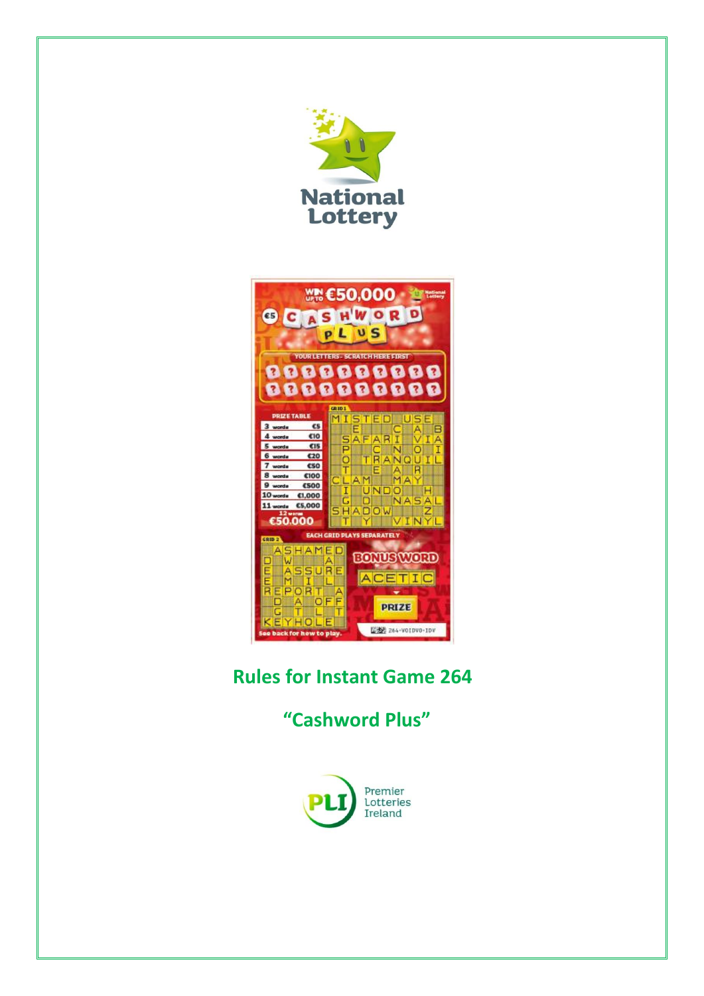



# **Rules for Instant Game 264**

**"Cashword Plus"**

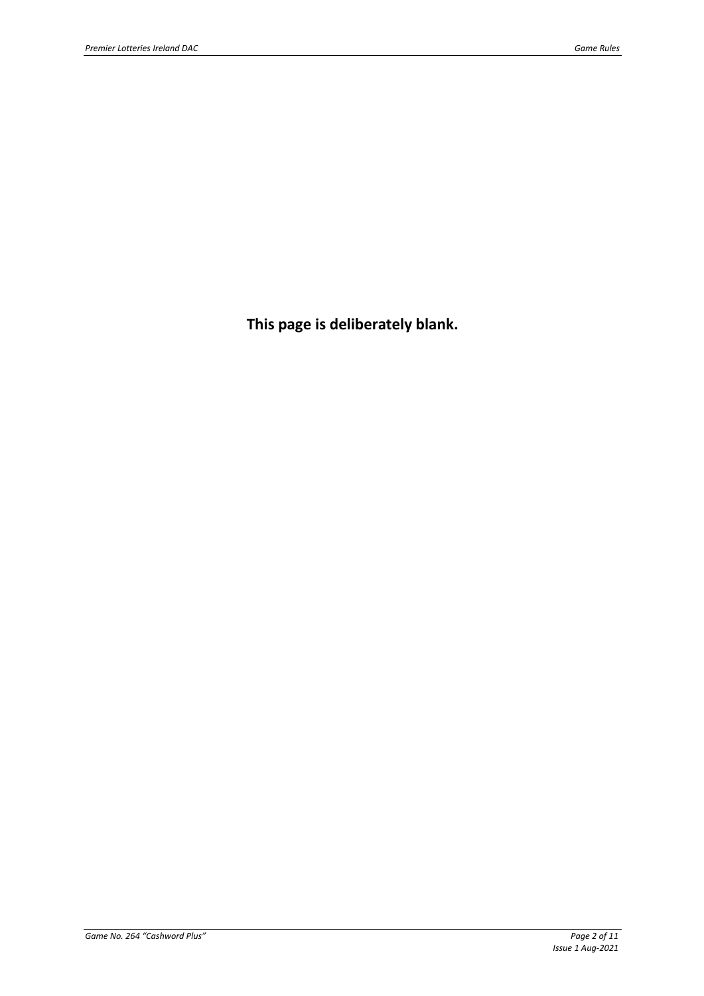**This page is deliberately blank.**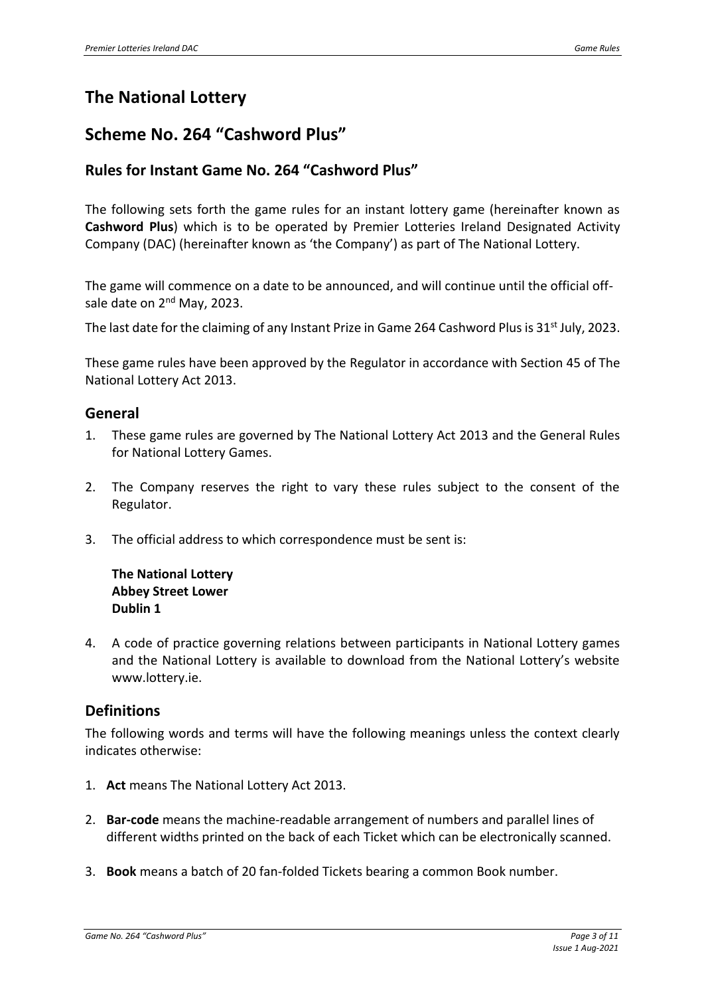# **The National Lottery**

# **Scheme No. 264 "Cashword Plus"**

#### **Rules for Instant Game No. 264 "Cashword Plus"**

The following sets forth the game rules for an instant lottery game (hereinafter known as **Cashword Plus**) which is to be operated by Premier Lotteries Ireland Designated Activity Company (DAC) (hereinafter known as 'the Company') as part of The National Lottery.

The game will commence on a date to be announced, and will continue until the official offsale date on 2<sup>nd</sup> May, 2023.

The last date for the claiming of any Instant Prize in Game 264 Cashword Plus is  $31<sup>st</sup>$  July, 2023.

These game rules have been approved by the Regulator in accordance with Section 45 of The National Lottery Act 2013.

#### **General**

- 1. These game rules are governed by The National Lottery Act 2013 and the General Rules for National Lottery Games.
- 2. The Company reserves the right to vary these rules subject to the consent of the Regulator.
- 3. The official address to which correspondence must be sent is:

**The National Lottery Abbey Street Lower Dublin 1**

4. A code of practice governing relations between participants in National Lottery games and the National Lottery is available to download from the National Lottery's website www.lottery.ie.

#### **Definitions**

The following words and terms will have the following meanings unless the context clearly indicates otherwise:

- 1. **Act** means The National Lottery Act 2013.
- 2. **Bar-code** means the machine-readable arrangement of numbers and parallel lines of different widths printed on the back of each Ticket which can be electronically scanned.
- 3. **Book** means a batch of 20 fan-folded Tickets bearing a common Book number.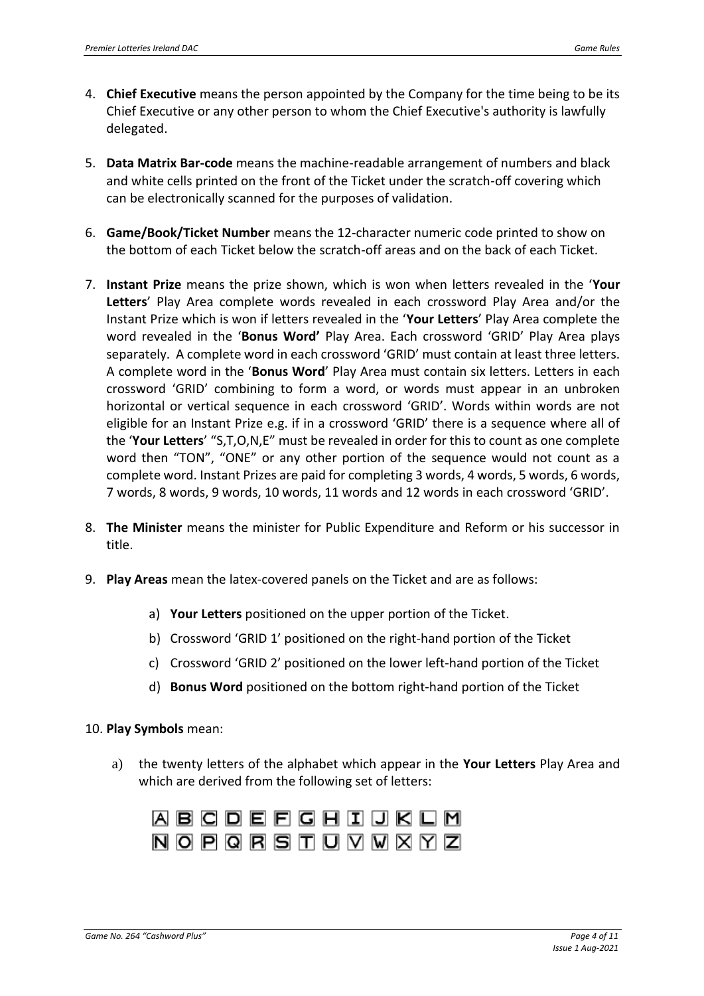- 4. **Chief Executive** means the person appointed by the Company for the time being to be its Chief Executive or any other person to whom the Chief Executive's authority is lawfully delegated.
- 5. **Data Matrix Bar-code** means the machine-readable arrangement of numbers and black and white cells printed on the front of the Ticket under the scratch-off covering which can be electronically scanned for the purposes of validation.
- 6. **Game/Book/Ticket Number** means the 12-character numeric code printed to show on the bottom of each Ticket below the scratch-off areas and on the back of each Ticket.
- 7. **Instant Prize** means the prize shown, which is won when letters revealed in the '**Your Letters**' Play Area complete words revealed in each crossword Play Area and/or the Instant Prize which is won if letters revealed in the '**Your Letters**' Play Area complete the word revealed in the '**Bonus Word'** Play Area. Each crossword 'GRID' Play Area plays separately. A complete word in each crossword 'GRID' must contain at least three letters. A complete word in the '**Bonus Word**' Play Area must contain six letters. Letters in each crossword 'GRID' combining to form a word, or words must appear in an unbroken horizontal or vertical sequence in each crossword 'GRID'. Words within words are not eligible for an Instant Prize e.g. if in a crossword 'GRID' there is a sequence where all of the '**Your Letters**' "S,T,O,N,E" must be revealed in order for this to count as one complete word then "TON", "ONE" or any other portion of the sequence would not count as a complete word. Instant Prizes are paid for completing 3 words, 4 words, 5 words, 6 words, 7 words, 8 words, 9 words, 10 words, 11 words and 12 words in each crossword 'GRID'.
- 8. **The Minister** means the minister for Public Expenditure and Reform or his successor in title.
- 9. **Play Areas** mean the latex-covered panels on the Ticket and are as follows:
	- a) **Your Letters** positioned on the upper portion of the Ticket.
	- b) Crossword 'GRID 1' positioned on the right-hand portion of the Ticket
	- c) Crossword 'GRID 2' positioned on the lower left-hand portion of the Ticket
	- d) **Bonus Word** positioned on the bottom right-hand portion of the Ticket
- 10. **Play Symbols** mean:
	- a) the twenty letters of the alphabet which appear in the **Your Letters** Play Area and which are derived from the following set of letters:

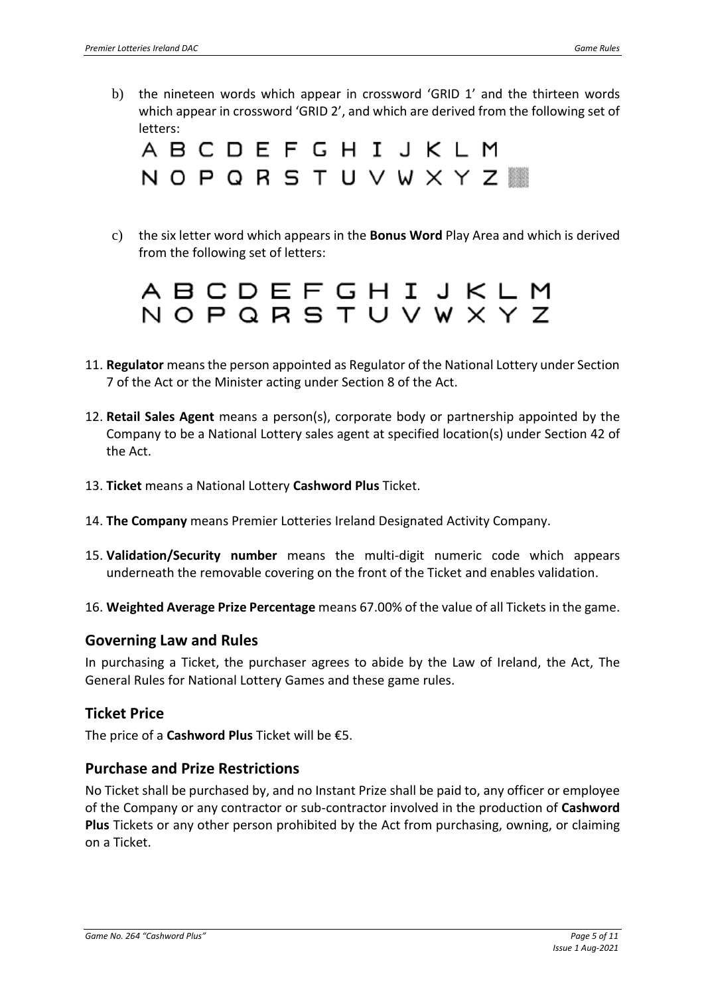b) the nineteen words which appear in crossword 'GRID 1' and the thirteen words which appear in crossword 'GRID 2', and which are derived from the following set of



c) the six letter word which appears in the **Bonus Word** Play Area and which is derived from the following set of letters:



- 11. **Regulator** means the person appointed as Regulator of the National Lottery under Section 7 of the Act or the Minister acting under Section 8 of the Act.
- 12. **Retail Sales Agent** means a person(s), corporate body or partnership appointed by the Company to be a National Lottery sales agent at specified location(s) under Section 42 of the Act.
- 13. **Ticket** means a National Lottery **Cashword Plus** Ticket.
- 14. **The Company** means Premier Lotteries Ireland Designated Activity Company.
- 15. **Validation/Security number** means the multi-digit numeric code which appears underneath the removable covering on the front of the Ticket and enables validation.
- 16. **Weighted Average Prize Percentage** means 67.00% of the value of all Tickets in the game.

#### **Governing Law and Rules**

In purchasing a Ticket, the purchaser agrees to abide by the Law of Ireland, the Act, The General Rules for National Lottery Games and these game rules.

#### **Ticket Price**

The price of a **Cashword Plus** Ticket will be €5.

#### **Purchase and Prize Restrictions**

No Ticket shall be purchased by, and no Instant Prize shall be paid to, any officer or employee of the Company or any contractor or sub-contractor involved in the production of **Cashword Plus** Tickets or any other person prohibited by the Act from purchasing, owning, or claiming on a Ticket.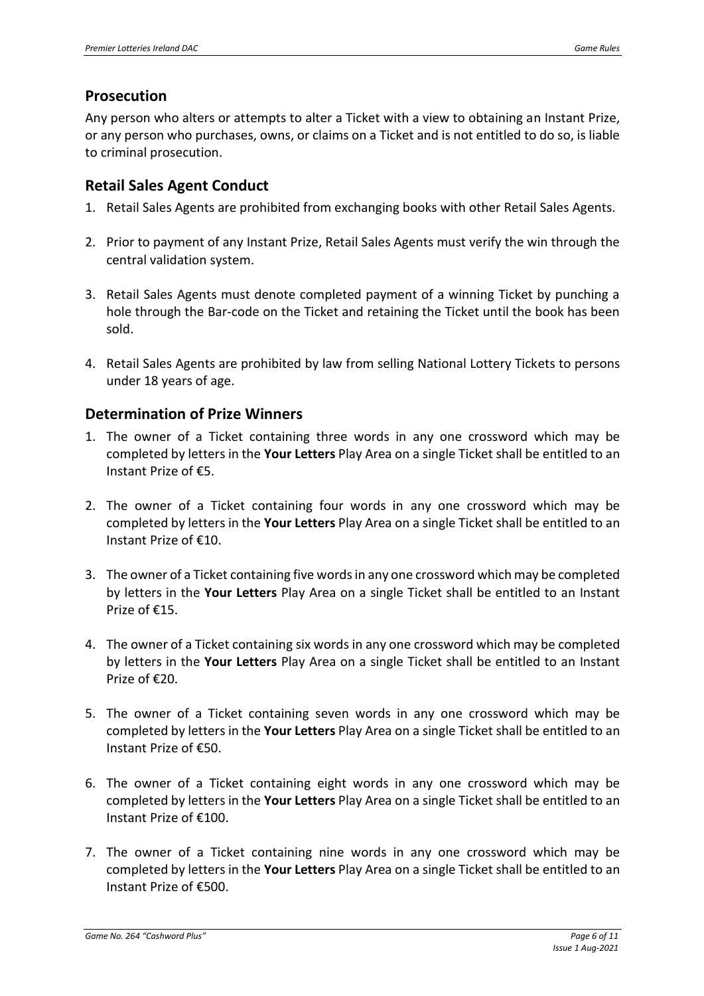## **Prosecution**

Any person who alters or attempts to alter a Ticket with a view to obtaining an Instant Prize, or any person who purchases, owns, or claims on a Ticket and is not entitled to do so, is liable to criminal prosecution.

#### **Retail Sales Agent Conduct**

- 1. Retail Sales Agents are prohibited from exchanging books with other Retail Sales Agents.
- 2. Prior to payment of any Instant Prize, Retail Sales Agents must verify the win through the central validation system.
- 3. Retail Sales Agents must denote completed payment of a winning Ticket by punching a hole through the Bar-code on the Ticket and retaining the Ticket until the book has been sold.
- 4. Retail Sales Agents are prohibited by law from selling National Lottery Tickets to persons under 18 years of age.

## **Determination of Prize Winners**

- 1. The owner of a Ticket containing three words in any one crossword which may be completed by letters in the **Your Letters** Play Area on a single Ticket shall be entitled to an Instant Prize of €5.
- 2. The owner of a Ticket containing four words in any one crossword which may be completed by letters in the **Your Letters** Play Area on a single Ticket shall be entitled to an Instant Prize of €10.
- 3. The owner of a Ticket containing five words in any one crossword which may be completed by letters in the **Your Letters** Play Area on a single Ticket shall be entitled to an Instant Prize of €15.
- 4. The owner of a Ticket containing six words in any one crossword which may be completed by letters in the **Your Letters** Play Area on a single Ticket shall be entitled to an Instant Prize of €20.
- 5. The owner of a Ticket containing seven words in any one crossword which may be completed by letters in the **Your Letters** Play Area on a single Ticket shall be entitled to an Instant Prize of €50.
- 6. The owner of a Ticket containing eight words in any one crossword which may be completed by letters in the **Your Letters** Play Area on a single Ticket shall be entitled to an Instant Prize of €100.
- 7. The owner of a Ticket containing nine words in any one crossword which may be completed by letters in the **Your Letters** Play Area on a single Ticket shall be entitled to an Instant Prize of €500.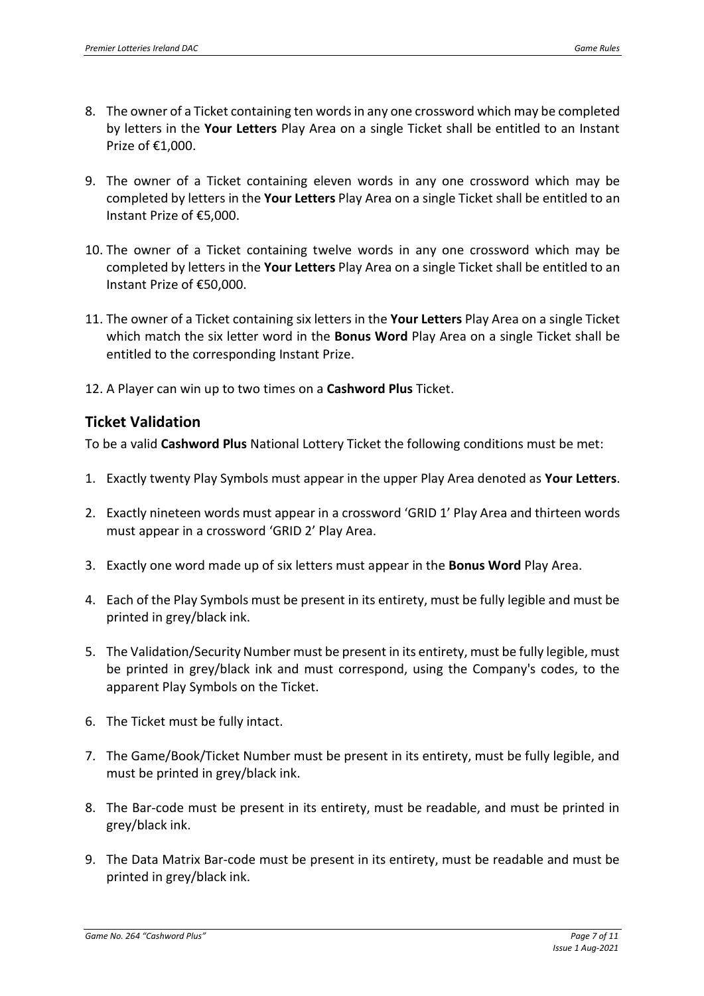- 8. The owner of a Ticket containing ten words in any one crossword which may be completed by letters in the **Your Letters** Play Area on a single Ticket shall be entitled to an Instant Prize of €1,000.
- 9. The owner of a Ticket containing eleven words in any one crossword which may be completed by letters in the **Your Letters** Play Area on a single Ticket shall be entitled to an Instant Prize of €5,000.
- 10. The owner of a Ticket containing twelve words in any one crossword which may be completed by letters in the **Your Letters** Play Area on a single Ticket shall be entitled to an Instant Prize of €50,000.
- 11. The owner of a Ticket containing six letters in the **Your Letters** Play Area on a single Ticket which match the six letter word in the **Bonus Word** Play Area on a single Ticket shall be entitled to the corresponding Instant Prize.
- 12. A Player can win up to two times on a **Cashword Plus** Ticket.

## **Ticket Validation**

To be a valid **Cashword Plus** National Lottery Ticket the following conditions must be met:

- 1. Exactly twenty Play Symbols must appear in the upper Play Area denoted as **Your Letters**.
- 2. Exactly nineteen words must appear in a crossword 'GRID 1' Play Area and thirteen words must appear in a crossword 'GRID 2' Play Area.
- 3. Exactly one word made up of six letters must appear in the **Bonus Word** Play Area.
- 4. Each of the Play Symbols must be present in its entirety, must be fully legible and must be printed in grey/black ink.
- 5. The Validation/Security Number must be present in its entirety, must be fully legible, must be printed in grey/black ink and must correspond, using the Company's codes, to the apparent Play Symbols on the Ticket.
- 6. The Ticket must be fully intact.
- 7. The Game/Book/Ticket Number must be present in its entirety, must be fully legible, and must be printed in grey/black ink.
- 8. The Bar-code must be present in its entirety, must be readable, and must be printed in grey/black ink.
- 9. The Data Matrix Bar-code must be present in its entirety, must be readable and must be printed in grey/black ink.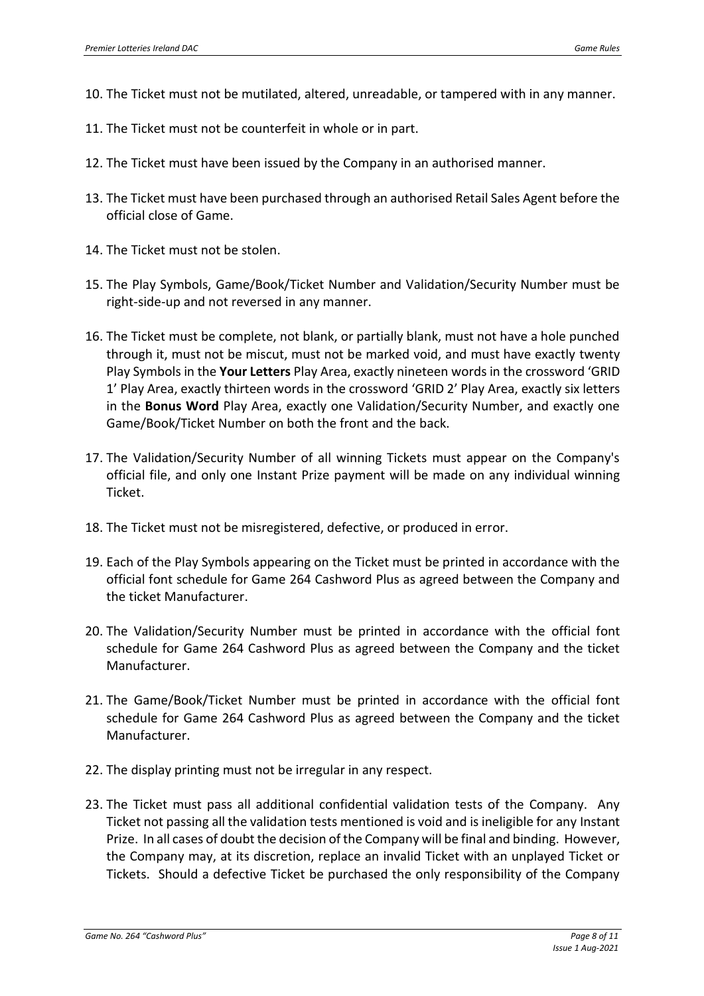- 10. The Ticket must not be mutilated, altered, unreadable, or tampered with in any manner.
- 11. The Ticket must not be counterfeit in whole or in part.
- 12. The Ticket must have been issued by the Company in an authorised manner.
- 13. The Ticket must have been purchased through an authorised Retail Sales Agent before the official close of Game.
- 14. The Ticket must not be stolen.
- 15. The Play Symbols, Game/Book/Ticket Number and Validation/Security Number must be right-side-up and not reversed in any manner.
- 16. The Ticket must be complete, not blank, or partially blank, must not have a hole punched through it, must not be miscut, must not be marked void, and must have exactly twenty Play Symbols in the **Your Letters** Play Area, exactly nineteen words in the crossword 'GRID 1' Play Area, exactly thirteen words in the crossword 'GRID 2' Play Area, exactly six letters in the **Bonus Word** Play Area, exactly one Validation/Security Number, and exactly one Game/Book/Ticket Number on both the front and the back.
- 17. The Validation/Security Number of all winning Tickets must appear on the Company's official file, and only one Instant Prize payment will be made on any individual winning Ticket.
- 18. The Ticket must not be misregistered, defective, or produced in error.
- 19. Each of the Play Symbols appearing on the Ticket must be printed in accordance with the official font schedule for Game 264 Cashword Plus as agreed between the Company and the ticket Manufacturer.
- 20. The Validation/Security Number must be printed in accordance with the official font schedule for Game 264 Cashword Plus as agreed between the Company and the ticket Manufacturer.
- 21. The Game/Book/Ticket Number must be printed in accordance with the official font schedule for Game 264 Cashword Plus as agreed between the Company and the ticket Manufacturer.
- 22. The display printing must not be irregular in any respect.
- 23. The Ticket must pass all additional confidential validation tests of the Company. Any Ticket not passing all the validation tests mentioned is void and is ineligible for any Instant Prize. In all cases of doubt the decision of the Company will be final and binding. However, the Company may, at its discretion, replace an invalid Ticket with an unplayed Ticket or Tickets. Should a defective Ticket be purchased the only responsibility of the Company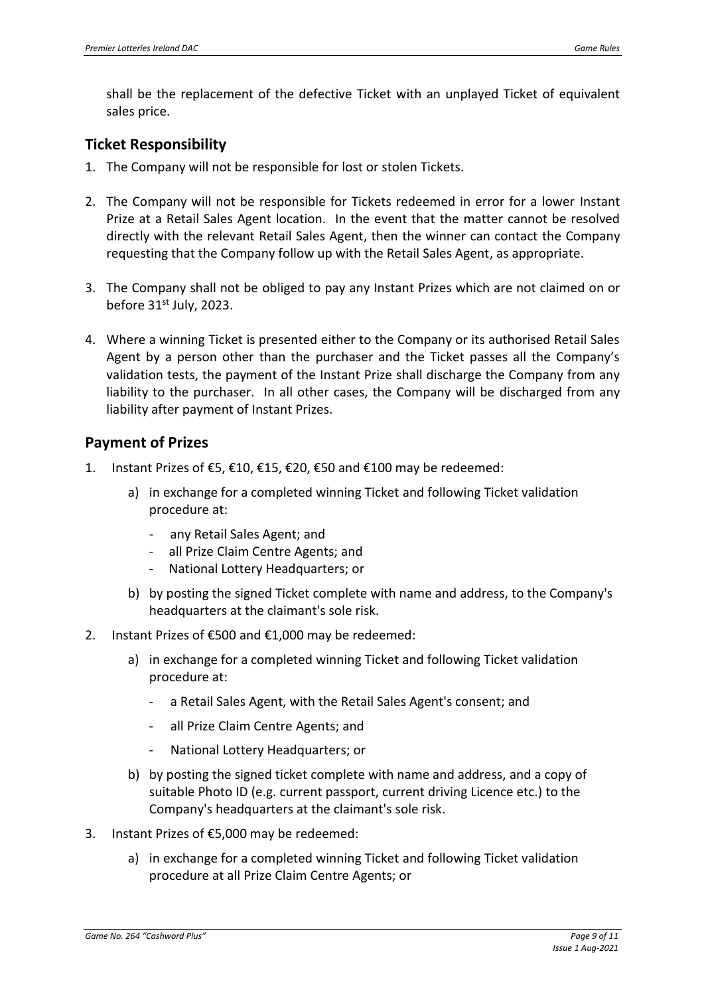shall be the replacement of the defective Ticket with an unplayed Ticket of equivalent sales price.

#### **Ticket Responsibility**

- 1. The Company will not be responsible for lost or stolen Tickets.
- 2. The Company will not be responsible for Tickets redeemed in error for a lower Instant Prize at a Retail Sales Agent location. In the event that the matter cannot be resolved directly with the relevant Retail Sales Agent, then the winner can contact the Company requesting that the Company follow up with the Retail Sales Agent, as appropriate.
- 3. The Company shall not be obliged to pay any Instant Prizes which are not claimed on or before 31<sup>st</sup> July, 2023.
- 4. Where a winning Ticket is presented either to the Company or its authorised Retail Sales Agent by a person other than the purchaser and the Ticket passes all the Company's validation tests, the payment of the Instant Prize shall discharge the Company from any liability to the purchaser. In all other cases, the Company will be discharged from any liability after payment of Instant Prizes.

## **Payment of Prizes**

- 1. Instant Prizes of €5, €10, €15, €20, €50 and €100 may be redeemed:
	- a) in exchange for a completed winning Ticket and following Ticket validation procedure at:
		- any Retail Sales Agent; and
		- all Prize Claim Centre Agents; and
		- National Lottery Headquarters; or
	- b) by posting the signed Ticket complete with name and address, to the Company's headquarters at the claimant's sole risk.
- 2. Instant Prizes of €500 and €1,000 may be redeemed:
	- a) in exchange for a completed winning Ticket and following Ticket validation procedure at:
		- a Retail Sales Agent, with the Retail Sales Agent's consent; and
		- all Prize Claim Centre Agents; and
		- National Lottery Headquarters; or
	- b) by posting the signed ticket complete with name and address, and a copy of suitable Photo ID (e.g. current passport, current driving Licence etc.) to the Company's headquarters at the claimant's sole risk.
- 3. Instant Prizes of €5,000 may be redeemed:
	- a) in exchange for a completed winning Ticket and following Ticket validation procedure at all Prize Claim Centre Agents; or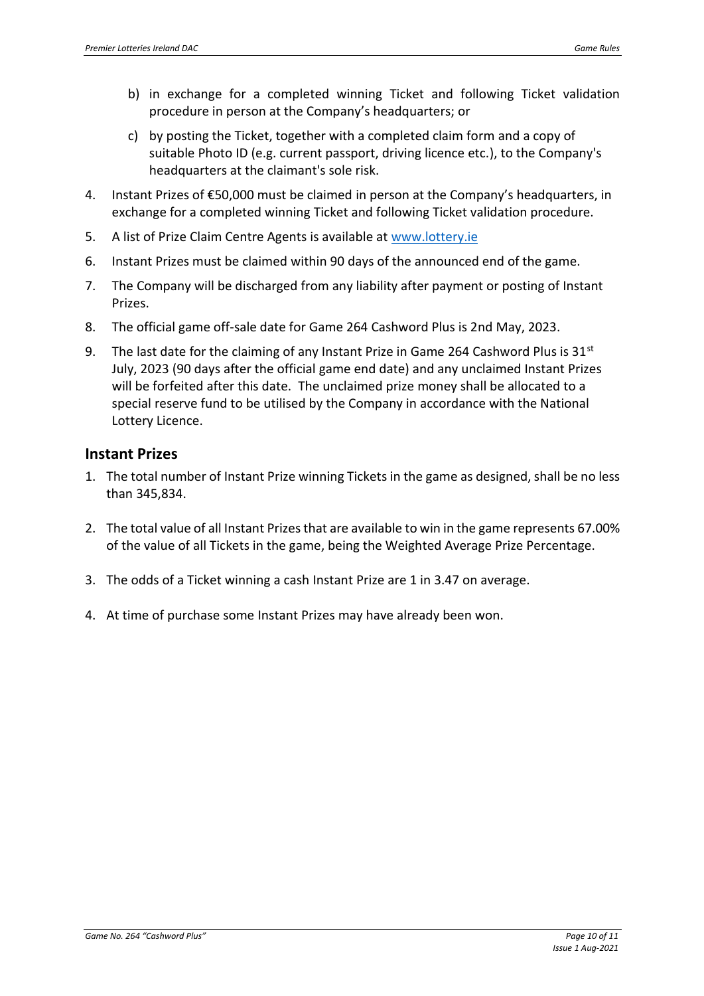- b) in exchange for a completed winning Ticket and following Ticket validation procedure in person at the Company's headquarters; or
- c) by posting the Ticket, together with a completed claim form and a copy of suitable Photo ID (e.g. current passport, driving licence etc.), to the Company's headquarters at the claimant's sole risk.
- 4. Instant Prizes of €50,000 must be claimed in person at the Company's headquarters, in exchange for a completed winning Ticket and following Ticket validation procedure.
- 5. A list of Prize Claim Centre Agents is available at [www.lottery.ie](http://www.lottery.ie/)
- 6. Instant Prizes must be claimed within 90 days of the announced end of the game.
- 7. The Company will be discharged from any liability after payment or posting of Instant Prizes.
- 8. The official game off-sale date for Game 264 Cashword Plus is 2nd May, 2023.
- 9. The last date for the claiming of any Instant Prize in Game 264 Cashword Plus is  $31^{st}$ July, 2023 (90 days after the official game end date) and any unclaimed Instant Prizes will be forfeited after this date. The unclaimed prize money shall be allocated to a special reserve fund to be utilised by the Company in accordance with the National Lottery Licence.

#### **Instant Prizes**

- 1. The total number of Instant Prize winning Tickets in the game as designed, shall be no less than 345,834.
- 2. The total value of all Instant Prizes that are available to win in the game represents 67.00% of the value of all Tickets in the game, being the Weighted Average Prize Percentage.
- 3. The odds of a Ticket winning a cash Instant Prize are 1 in 3.47 on average.
- 4. At time of purchase some Instant Prizes may have already been won.